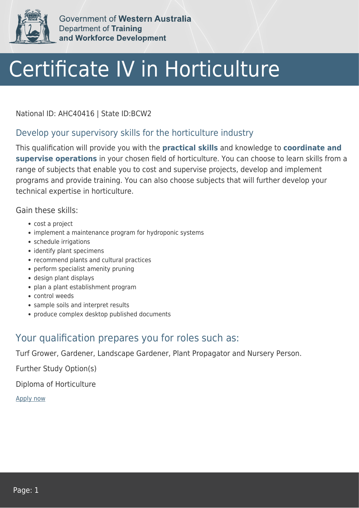

Government of Western Australia Department of Training and Workforce Development

## Certificate IV in Horticulture

National ID: AHC40416 | State ID:BCW2

## Develop your supervisory skills for the horticulture industry

This qualification will provide you with the **practical skills** and knowledge to **coordinate and supervise operations** in your chosen field of horticulture. You can choose to learn skills from a range of subjects that enable you to cost and supervise projects, develop and implement programs and provide training. You can also choose subjects that will further develop your technical expertise in horticulture.

Gain these skills:

- cost a project
- implement a maintenance program for hydroponic systems
- schedule irrigations
- identify plant specimens
- recommend plants and cultural practices
- perform specialist amenity pruning
- design plant displays
- plan a plant establishment program
- control weeds
- sample soils and interpret results
- produce complex desktop published documents

## Your qualification prepares you for roles such as:

Turf Grower, Gardener, Landscape Gardener, Plant Propagator and Nursery Person.

Further Study Option(s)

Diploma of Horticulture

[Apply now](https://tasonline.tafe.wa.edu.au/Default.aspx)